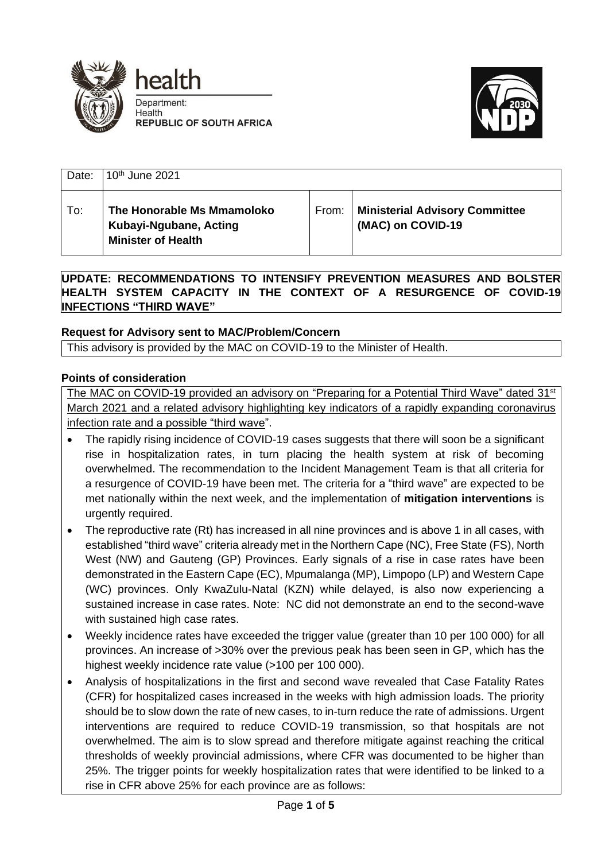





| Date: | 10 <sup>th</sup> June 2021                                                        |       |                                                            |
|-------|-----------------------------------------------------------------------------------|-------|------------------------------------------------------------|
| To:   | The Honorable Ms Mmamoloko<br>Kubayi-Ngubane, Acting<br><b>Minister of Health</b> | From: | <b>Ministerial Advisory Committee</b><br>(MAC) on COVID-19 |

**UPDATE: RECOMMENDATIONS TO INTENSIFY PREVENTION MEASURES AND BOLSTER HEALTH SYSTEM CAPACITY IN THE CONTEXT OF A RESURGENCE OF COVID-19 INFECTIONS "THIRD WAVE"**

# **Request for Advisory sent to MAC/Problem/Concern**

This advisory is provided by the MAC on COVID-19 to the Minister of Health.

### **Points of consideration**

The MAC on COVID-19 provided an advisory on "Preparing for a Potential Third Wave" dated 31<sup>st</sup> March 2021 and a related advisory highlighting key indicators of a rapidly expanding coronavirus infection rate and a possible "third wave".

- The rapidly rising incidence of COVID-19 cases suggests that there will soon be a significant rise in hospitalization rates, in turn placing the health system at risk of becoming overwhelmed. The recommendation to the Incident Management Team is that all criteria for a resurgence of COVID-19 have been met. The criteria for a "third wave" are expected to be met nationally within the next week, and the implementation of **mitigation interventions** is urgently required.
- The reproductive rate (Rt) has increased in all nine provinces and is above 1 in all cases, with established "third wave" criteria already met in the Northern Cape (NC), Free State (FS), North West (NW) and Gauteng (GP) Provinces. Early signals of a rise in case rates have been demonstrated in the Eastern Cape (EC), Mpumalanga (MP), Limpopo (LP) and Western Cape (WC) provinces. Only KwaZulu-Natal (KZN) while delayed, is also now experiencing a sustained increase in case rates. Note: NC did not demonstrate an end to the second-wave with sustained high case rates.
- Weekly incidence rates have exceeded the trigger value (greater than 10 per 100 000) for all provinces. An increase of >30% over the previous peak has been seen in GP, which has the highest weekly incidence rate value (>100 per 100 000).
- Analysis of hospitalizations in the first and second wave revealed that Case Fatality Rates (CFR) for hospitalized cases increased in the weeks with high admission loads. The priority should be to slow down the rate of new cases, to in-turn reduce the rate of admissions. Urgent interventions are required to reduce COVID-19 transmission, so that hospitals are not overwhelmed. The aim is to slow spread and therefore mitigate against reaching the critical thresholds of weekly provincial admissions, where CFR was documented to be higher than 25%. The trigger points for weekly hospitalization rates that were identified to be linked to a rise in CFR above 25% for each province are as follows: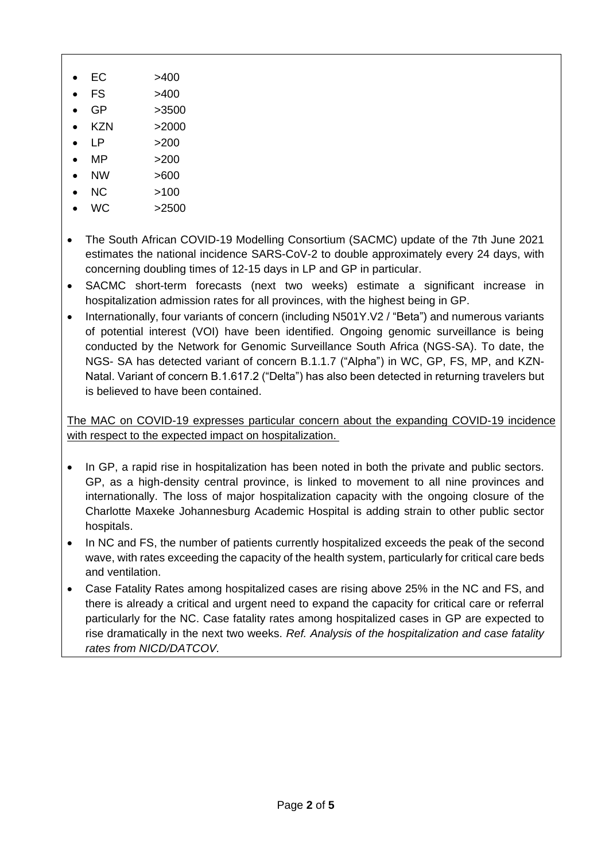- $\bullet$  EC  $>400$
- FS >400
- $\bullet$  GP  $>3500$
- $KZN$   $>2000$
- $LP$  >200
- $MP$   $>200$
- NW >600
- NC >100
- WC >2500
- The South African COVID-19 Modelling Consortium (SACMC) update of the 7th June 2021 estimates the national incidence SARS-CoV-2 to double approximately every 24 days, with concerning doubling times of 12-15 days in LP and GP in particular.
- SACMC short-term forecasts (next two weeks) estimate a significant increase in hospitalization admission rates for all provinces, with the highest being in GP.
- Internationally, four variants of concern (including N501Y.V2 / "Beta") and numerous variants of potential interest (VOI) have been identified. Ongoing genomic surveillance is being conducted by the Network for Genomic Surveillance South Africa (NGS-SA). To date, the NGS- SA has detected variant of concern B.1.1.7 ("Alpha") in WC, GP, FS, MP, and KZN-Natal. Variant of concern B.1.617.2 ("Delta") has also been detected in returning travelers but is believed to have been contained.

The MAC on COVID-19 expresses particular concern about the expanding COVID-19 incidence with respect to the expected impact on hospitalization.

- In GP, a rapid rise in hospitalization has been noted in both the private and public sectors. GP, as a high-density central province, is linked to movement to all nine provinces and internationally. The loss of major hospitalization capacity with the ongoing closure of the Charlotte Maxeke Johannesburg Academic Hospital is adding strain to other public sector hospitals.
- In NC and FS, the number of patients currently hospitalized exceeds the peak of the second wave, with rates exceeding the capacity of the health system, particularly for critical care beds and ventilation.
- Case Fatality Rates among hospitalized cases are rising above 25% in the NC and FS, and there is already a critical and urgent need to expand the capacity for critical care or referral particularly for the NC. Case fatality rates among hospitalized cases in GP are expected to rise dramatically in the next two weeks. *Ref. Analysis of the hospitalization and case fatality rates from NICD/DATCOV.*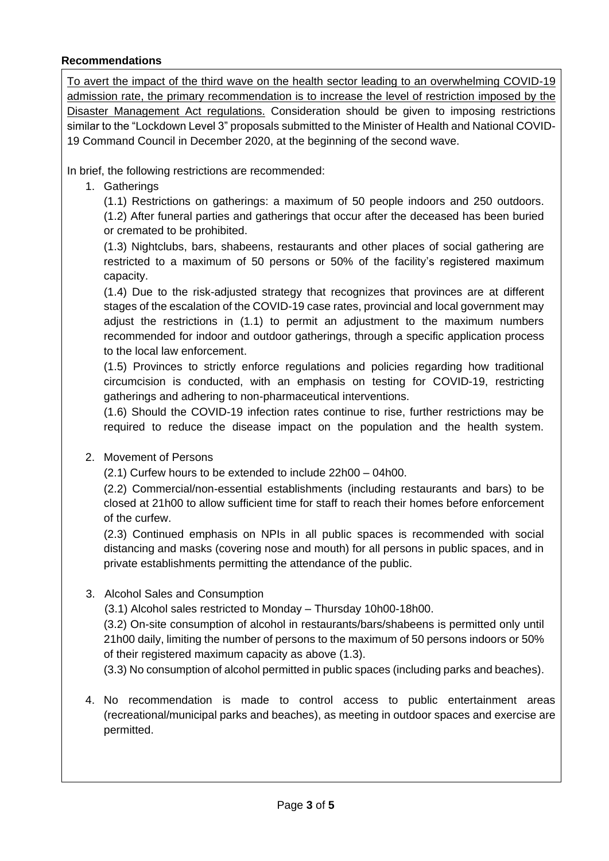### **Recommendations**

To avert the impact of the third wave on the health sector leading to an overwhelming COVID-19 admission rate, the primary recommendation is to increase the level of restriction imposed by the Disaster Management Act regulations. Consideration should be given to imposing restrictions similar to the "Lockdown Level 3" proposals submitted to the Minister of Health and National COVID-19 Command Council in December 2020, at the beginning of the second wave.

In brief, the following restrictions are recommended:

# 1. Gatherings

(1.1) Restrictions on gatherings: a maximum of 50 people indoors and 250 outdoors. (1.2) After funeral parties and gatherings that occur after the deceased has been buried or cremated to be prohibited.

(1.3) Nightclubs, bars, shabeens, restaurants and other places of social gathering are restricted to a maximum of 50 persons or 50% of the facility's registered maximum capacity.

(1.4) Due to the risk-adjusted strategy that recognizes that provinces are at different stages of the escalation of the COVID-19 case rates, provincial and local government may adjust the restrictions in (1.1) to permit an adjustment to the maximum numbers recommended for indoor and outdoor gatherings, through a specific application process to the local law enforcement.

(1.5) Provinces to strictly enforce regulations and policies regarding how traditional circumcision is conducted, with an emphasis on testing for COVID-19, restricting gatherings and adhering to non-pharmaceutical interventions.

(1.6) Should the COVID-19 infection rates continue to rise, further restrictions may be required to reduce the disease impact on the population and the health system.

### 2. Movement of Persons

(2.1) Curfew hours to be extended to include 22h00 – 04h00.

(2.2) Commercial/non-essential establishments (including restaurants and bars) to be closed at 21h00 to allow sufficient time for staff to reach their homes before enforcement of the curfew.

(2.3) Continued emphasis on NPIs in all public spaces is recommended with social distancing and masks (covering nose and mouth) for all persons in public spaces, and in private establishments permitting the attendance of the public.

### 3. Alcohol Sales and Consumption

(3.1) Alcohol sales restricted to Monday – Thursday 10h00-18h00.

(3.2) On-site consumption of alcohol in restaurants/bars/shabeens is permitted only until 21h00 daily, limiting the number of persons to the maximum of 50 persons indoors or 50% of their registered maximum capacity as above (1.3).

(3.3) No consumption of alcohol permitted in public spaces (including parks and beaches).

4. No recommendation is made to control access to public entertainment areas (recreational/municipal parks and beaches), as meeting in outdoor spaces and exercise are permitted.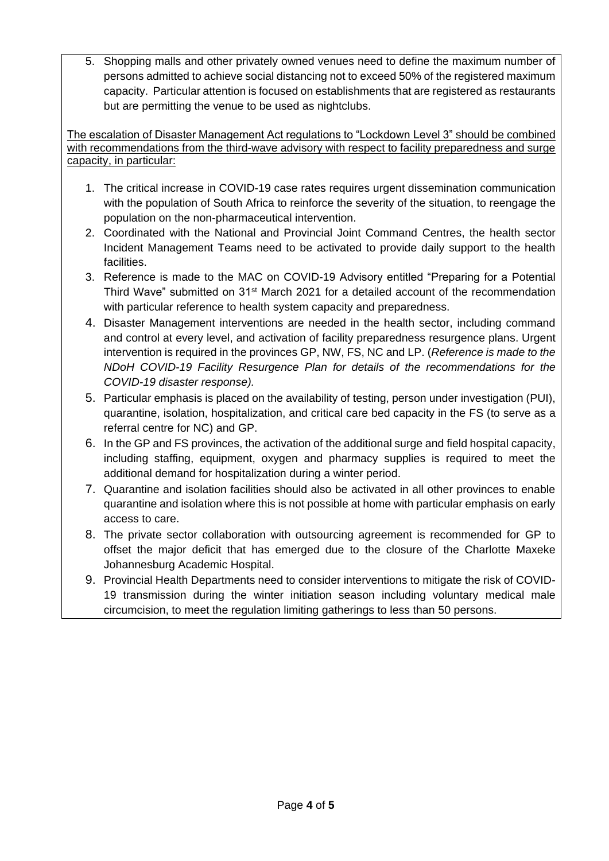5. Shopping malls and other privately owned venues need to define the maximum number of persons admitted to achieve social distancing not to exceed 50% of the registered maximum capacity. Particular attention is focused on establishments that are registered as restaurants but are permitting the venue to be used as nightclubs.

The escalation of Disaster Management Act regulations to "Lockdown Level 3" should be combined with recommendations from the third-wave advisory with respect to facility preparedness and surge capacity, in particular:

- 1. The critical increase in COVID-19 case rates requires urgent dissemination communication with the population of South Africa to reinforce the severity of the situation, to reengage the population on the non-pharmaceutical intervention.
- 2. Coordinated with the National and Provincial Joint Command Centres, the health sector Incident Management Teams need to be activated to provide daily support to the health facilities.
- 3. Reference is made to the MAC on COVID-19 Advisory entitled "Preparing for a Potential Third Wave" submitted on 31<sup>st</sup> March 2021 for a detailed account of the recommendation with particular reference to health system capacity and preparedness.
- 4. Disaster Management interventions are needed in the health sector, including command and control at every level, and activation of facility preparedness resurgence plans. Urgent intervention is required in the provinces GP, NW, FS, NC and LP. (*Reference is made to the NDoH COVID-19 Facility Resurgence Plan for details of the recommendations for the COVID-19 disaster response).*
- 5. Particular emphasis is placed on the availability of testing, person under investigation (PUI), quarantine, isolation, hospitalization, and critical care bed capacity in the FS (to serve as a referral centre for NC) and GP.
- 6. In the GP and FS provinces, the activation of the additional surge and field hospital capacity, including staffing, equipment, oxygen and pharmacy supplies is required to meet the additional demand for hospitalization during a winter period.
- 7. Quarantine and isolation facilities should also be activated in all other provinces to enable quarantine and isolation where this is not possible at home with particular emphasis on early access to care.
- 8. The private sector collaboration with outsourcing agreement is recommended for GP to offset the major deficit that has emerged due to the closure of the Charlotte Maxeke Johannesburg Academic Hospital.
- 9. Provincial Health Departments need to consider interventions to mitigate the risk of COVID-19 transmission during the winter initiation season including voluntary medical male circumcision, to meet the regulation limiting gatherings to less than 50 persons.